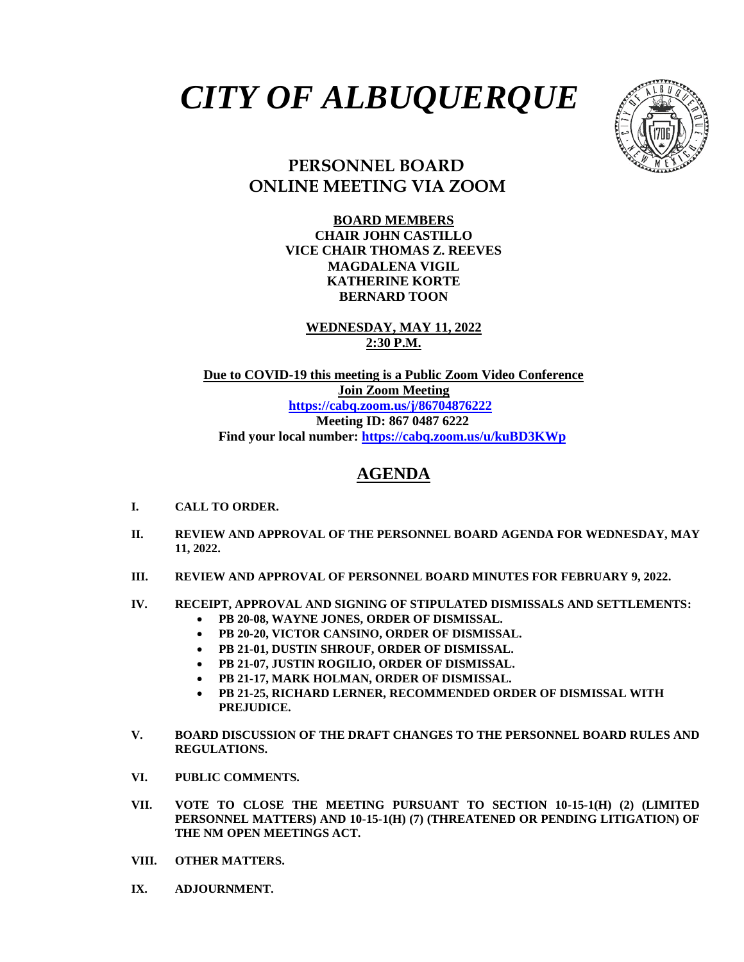# *CITY OF ALBUQUERQUE*



## **PERSONNEL BOARD ONLINE MEETING VIA ZOOM**

**BOARD MEMBERS CHAIR JOHN CASTILLO VICE CHAIR THOMAS Z. REEVES MAGDALENA VIGIL KATHERINE KORTE BERNARD TOON**

**WEDNESDAY, MAY 11, 2022 2:30 P.M.**

**Due to COVID-19 this meeting is a Public Zoom Video Conference Join Zoom Meeting <https://cabq.zoom.us/j/86704876222> Meeting ID: 867 0487 6222 Find your local number[: https://cabq.zoom.us/u/kuBD3KWp](https://cabq.zoom.us/u/kuBD3KWp)**

### **AGENDA**

- **I. CALL TO ORDER.**
- **II. REVIEW AND APPROVAL OF THE PERSONNEL BOARD AGENDA FOR WEDNESDAY, MAY 11, 2022.**
- **III. REVIEW AND APPROVAL OF PERSONNEL BOARD MINUTES FOR FEBRUARY 9, 2022.**

#### **IV. RECEIPT, APPROVAL AND SIGNING OF STIPULATED DISMISSALS AND SETTLEMENTS:**

- **PB 20-08, WAYNE JONES, ORDER OF DISMISSAL.**
- **PB 20-20, VICTOR CANSINO, ORDER OF DISMISSAL.**
- **PB 21-01, DUSTIN SHROUF, ORDER OF DISMISSAL.**
- **PB 21-07, JUSTIN ROGILIO, ORDER OF DISMISSAL.**
- **PB 21-17, MARK HOLMAN, ORDER OF DISMISSAL.**
- **PB 21-25, RICHARD LERNER, RECOMMENDED ORDER OF DISMISSAL WITH PREJUDICE.**
- **V. BOARD DISCUSSION OF THE DRAFT CHANGES TO THE PERSONNEL BOARD RULES AND REGULATIONS.**
- **VI. PUBLIC COMMENTS.**
- **VII. VOTE TO CLOSE THE MEETING PURSUANT TO SECTION 10-15-1(H) (2) (LIMITED PERSONNEL MATTERS) AND 10-15-1(H) (7) (THREATENED OR PENDING LITIGATION) OF THE NM OPEN MEETINGS ACT.**
- **VIII. OTHER MATTERS.**
- **IX. ADJOURNMENT.**